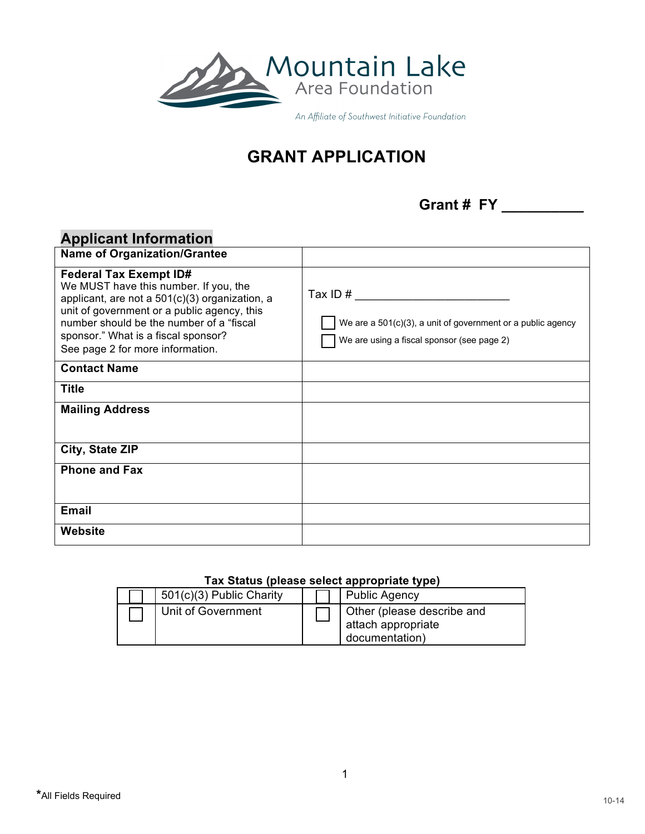

An Affiliate of Southwest Initiative Foundation

# **GRANT APPLICATION**

**Grant # FY \_\_\_\_\_\_\_\_\_\_**

# **Applicant Information**

| <b>Name of Organization/Grantee</b>                                                                                                                                                                                                                                                            |                                                                                                                         |
|------------------------------------------------------------------------------------------------------------------------------------------------------------------------------------------------------------------------------------------------------------------------------------------------|-------------------------------------------------------------------------------------------------------------------------|
| <b>Federal Tax Exempt ID#</b><br>We MUST have this number. If you, the<br>applicant, are not a 501(c)(3) organization, a<br>unit of government or a public agency, this<br>number should be the number of a "fiscal<br>sponsor." What is a fiscal sponsor?<br>See page 2 for more information. | Tax ID $#$<br>We are a 501(c)(3), a unit of government or a public agency<br>We are using a fiscal sponsor (see page 2) |
| <b>Contact Name</b>                                                                                                                                                                                                                                                                            |                                                                                                                         |
| <b>Title</b>                                                                                                                                                                                                                                                                                   |                                                                                                                         |
| <b>Mailing Address</b>                                                                                                                                                                                                                                                                         |                                                                                                                         |
|                                                                                                                                                                                                                                                                                                |                                                                                                                         |
| City, State ZIP                                                                                                                                                                                                                                                                                |                                                                                                                         |
| <b>Phone and Fax</b>                                                                                                                                                                                                                                                                           |                                                                                                                         |
|                                                                                                                                                                                                                                                                                                |                                                                                                                         |
| <b>Email</b>                                                                                                                                                                                                                                                                                   |                                                                                                                         |
| Website                                                                                                                                                                                                                                                                                        |                                                                                                                         |

#### **Tax Status (please select appropriate type)**

|  | 501(c)(3) Public Charity |  | <b>Public Agency</b>                                               |  |
|--|--------------------------|--|--------------------------------------------------------------------|--|
|  | Unit of Government       |  | Other (please describe and<br>attach appropriate<br>documentation) |  |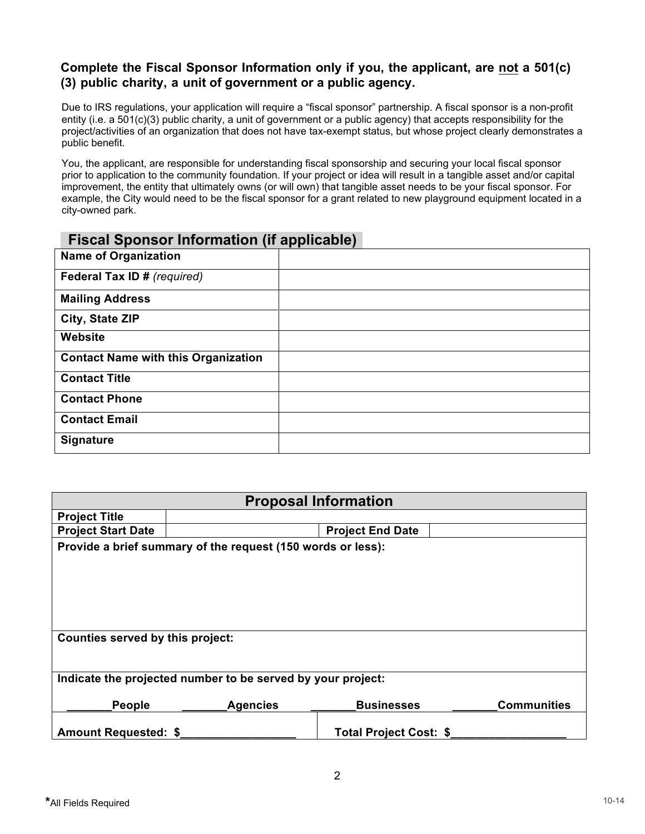#### **Complete the Fiscal Sponsor Information only if you, the applicant, are not a 501(c) (3) public charity, a unit of government or a public agency.**

Due to IRS regulations, your application will require a "fiscal sponsor" partnership. A fiscal sponsor is a non-profit entity (i.e. a 501(c)(3) public charity, a unit of government or a public agency) that accepts responsibility for the project/activities of an organization that does not have tax-exempt status, but whose project clearly demonstrates a public benefit.

You, the applicant, are responsible for understanding fiscal sponsorship and securing your local fiscal sponsor prior to application to the community foundation. If your project or idea will result in a tangible asset and/or capital improvement, the entity that ultimately owns (or will own) that tangible asset needs to be your fiscal sponsor. For example, the City would need to be the fiscal sponsor for a grant related to new playground equipment located in a city-owned park.

### **Fiscal Sponsor Information (if applicable)**

| <b>Name of Organization</b>                |  |
|--------------------------------------------|--|
| Federal Tax ID # (required)                |  |
| <b>Mailing Address</b>                     |  |
| City, State ZIP                            |  |
| Website                                    |  |
| <b>Contact Name with this Organization</b> |  |
| <b>Contact Title</b>                       |  |
| <b>Contact Phone</b>                       |  |
| <b>Contact Email</b>                       |  |
| <b>Signature</b>                           |  |

| <b>Proposal Information</b>                                 |                 |                         |                    |  |
|-------------------------------------------------------------|-----------------|-------------------------|--------------------|--|
| <b>Project Title</b>                                        |                 |                         |                    |  |
| <b>Project Start Date</b>                                   |                 | <b>Project End Date</b> |                    |  |
| Provide a brief summary of the request (150 words or less): |                 |                         |                    |  |
|                                                             |                 |                         |                    |  |
|                                                             |                 |                         |                    |  |
|                                                             |                 |                         |                    |  |
|                                                             |                 |                         |                    |  |
|                                                             |                 |                         |                    |  |
| Counties served by this project:                            |                 |                         |                    |  |
|                                                             |                 |                         |                    |  |
|                                                             |                 |                         |                    |  |
| Indicate the projected number to be served by your project: |                 |                         |                    |  |
|                                                             |                 |                         |                    |  |
| People                                                      | <b>Agencies</b> | <b>Businesses</b>       | <b>Communities</b> |  |
|                                                             |                 |                         |                    |  |
| <b>Amount Requested: \$</b>                                 |                 | Total Project Cost: \$  |                    |  |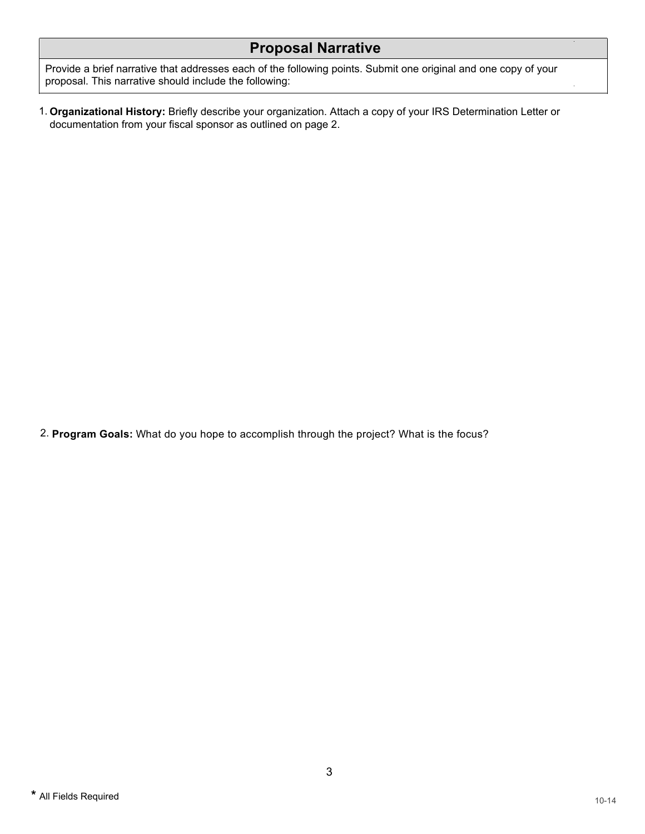## **Proposal Narrative**

Provide a brief narrative that addresses each of the following points. Submit one original and one copy of your proposal. This narrative should include the following:

1. **Organizational History:** Briefly describe your organization. Attach a copy of your IRS Determination Letter or documentation from your fiscal sponsor as outlined on page 2.

2. **Program Goals:** What do you hope to accomplish through the project? What is the focus?

 $\hat{\mathbf{r}}$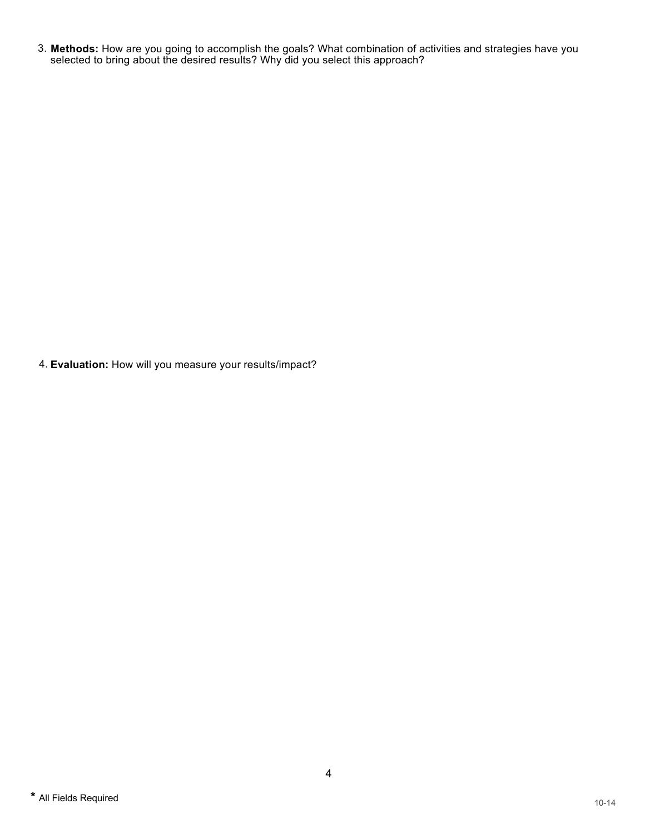3. **Methods:** How are you going to accomplish the goals? What combination of activities and strategies have you selected to bring about the desired results? Why did you select this approach?

4. **Evaluation:** How will you measure your results/impact?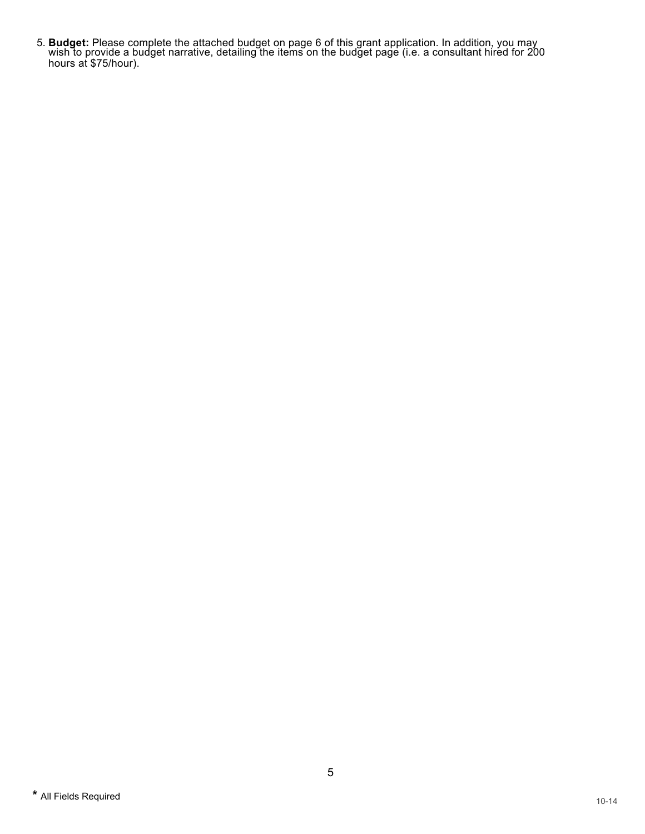5. **Budget:** Please complete the attached budget on page 6 of this grant application. In addition, you may wish to provide a budget narrative, detailing the items on the budget page (i.e. a consultant hired for 200 hours at \$75/hour).